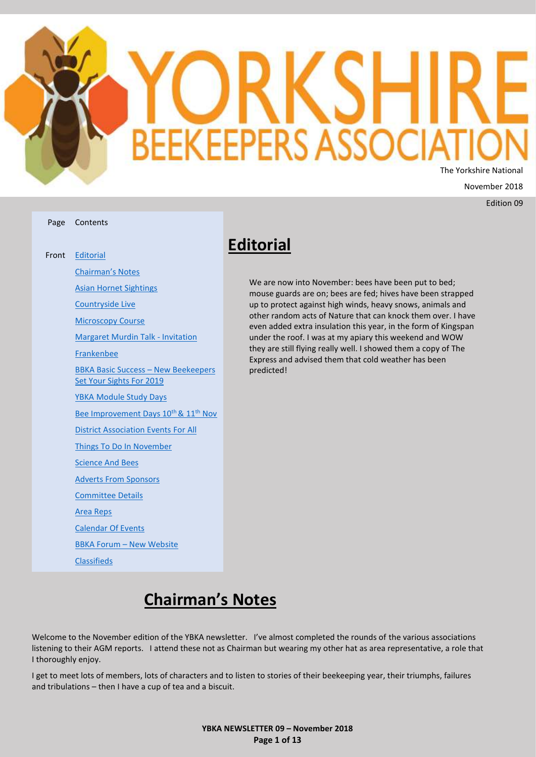

Edition 09

| age Contents                                                           |
|------------------------------------------------------------------------|
| ont Editorial                                                          |
| <b>Chairman's Notes</b>                                                |
| <b>Asian Hornet Sightings</b>                                          |
| <b>Countryside Live</b>                                                |
| <b>Microscopy Course</b>                                               |
| <b>Margaret Murdin Talk - Invitation</b>                               |
| <b>Frankenbee</b>                                                      |
| <b>BBKA Basic Success - New Beekeepers</b><br>Set Your Sights For 2019 |
| <b>YBKA Module Study Days</b>                                          |
| Bee Improvement Days 10 <sup>th</sup> & 11 <sup>th</sup> Nov           |
| <b>District Association Events For All</b>                             |
| Things To Do In November                                               |
| <b>Science And Bees</b>                                                |
| <b>Adverts From Sponsors</b>                                           |
| <b>Committee Details</b>                                               |
| <b>Area Reps</b>                                                       |
| <b>Calendar Of Events</b>                                              |
| <b>BBKA Forum - New Website</b>                                        |
| <b>Classifieds</b>                                                     |

Page

Fr

# <span id="page-0-0"></span>**Editorial**

We are now into November: bees have been put to bed; mouse guards are on; bees are fed; hives have been strapped up to protect against high winds, heavy snows, animals and other random acts of Nature that can knock them over. I have even added extra insulation this year, in the form of Kingspan under the roof. I was at my apiary this weekend and WOW they are still flying really well. I showed them a copy of The Express and advised them that cold weather has been predicted!

# **Chairman's Notes**

<span id="page-0-1"></span>Welcome to the November edition of the YBKA newsletter. I've almost completed the rounds of the various associations listening to their AGM reports. I attend these not as Chairman but wearing my other hat as area representative, a role that I thoroughly enjoy.

I get to meet lots of members, lots of characters and to listen to stories of their beekeeping year, their triumphs, failures and tribulations – then I have a cup of tea and a biscuit.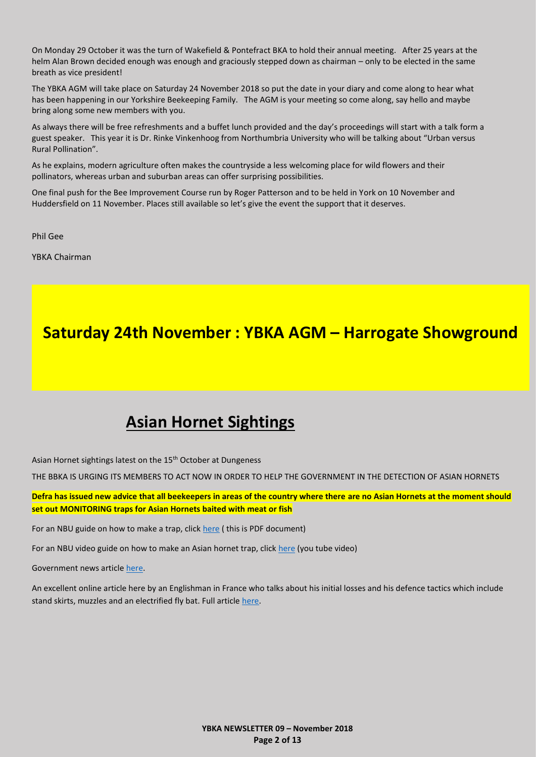On Monday 29 October it was the turn of Wakefield & Pontefract BKA to hold their annual meeting. After 25 years at the helm Alan Brown decided enough was enough and graciously stepped down as chairman – only to be elected in the same breath as vice president!

The YBKA AGM will take place on Saturday 24 November 2018 so put the date in your diary and come along to hear what has been happening in our Yorkshire Beekeeping Family. The AGM is your meeting so come along, say hello and maybe bring along some new members with you.

As always there will be free refreshments and a buffet lunch provided and the day's proceedings will start with a talk form a guest speaker. This year it is Dr. Rinke Vinkenhoog from Northumbria University who will be talking about "Urban versus Rural Pollination".

As he explains, modern agriculture often makes the countryside a less welcoming place for wild flowers and their pollinators, whereas urban and suburban areas can offer surprising possibilities.

One final push for the Bee Improvement Course run by Roger Patterson and to be held in York on 10 November and Huddersfield on 11 November. Places still available so let's give the event the support that it deserves.

Phil Gee

YBKA Chairman

# **Saturday 24th November : YBKA AGM – Harrogate Showground**

# **Asian Hornet Sightings**

<span id="page-1-0"></span>Asian Hornet sightings latest on the 15<sup>th</sup> October at Dungeness

THE BBKA IS URGING ITS MEMBERS TO ACT NOW IN ORDER TO HELP THE GOVERNMENT IN THE DETECTION OF ASIAN HORNETS

**Defra has issued new advice that all beekeepers in areas of the country where there are no Asian Hornets at the moment should set out MONITORING traps for Asian Hornets baited with meat or fish**

For an NBU guide on how to make a trap, click [here](https://www.google.com/url?sa=t&rct=j&q=&esrc=s&source=web&cd=1&cad=rja&uact=8&ved=2ahUKEwjEvYmAn7HdAhVrCcAKHdi_D7AQFjAAegQIBBAC&url=http%3A%2F%2Fwww.nationalbeeunit.com%2FdownloadNews.cfm%3Fid%3D122&usg=AOvVaw0ZVUl_44a9NFNMCOk4gHHN) (this is PDF document)

For an NBU video guide on how to make an Asian hornet trap, click [here](https://www.youtube.com/watch?v=CR6MUekAjMo) (you tube video)

Government news article [here.](https://www.gov.uk/government/news/asian-hornet-fowey-nest-destroyed-as-two-new-sightings-confirmed-in-liskeard-and-hull)

An excellent online article here by an Englishman in France who talks about his initial losses and his defence tactics which include stand skirts, muzzles and an electrified fly bat. Full article [here.](https://honeybeesuite.com/beekeeping-with-asian-hornets/)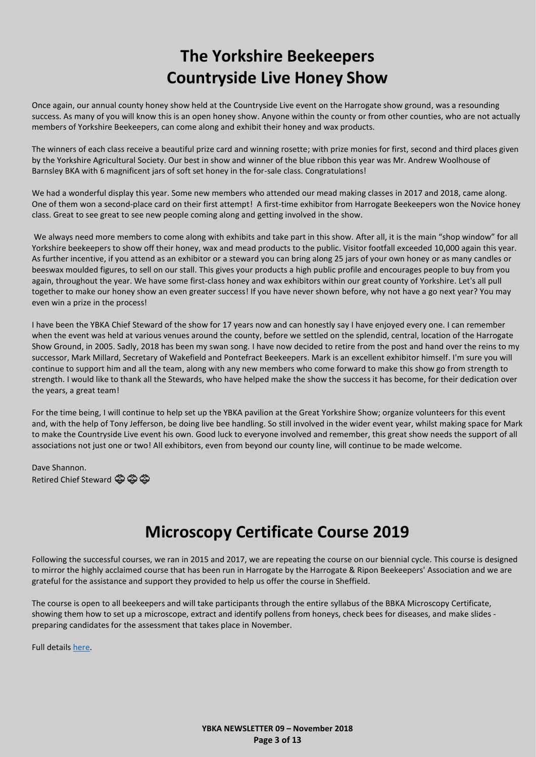# **The Yorkshire Beekeepers Countryside Live Honey Show**

<span id="page-2-0"></span>Once again, our annual county honey show held at the Countryside Live event on the Harrogate show ground, was a resounding success. As many of you will know this is an open honey show. Anyone within the county or from other counties, who are not actually members of Yorkshire Beekeepers, can come along and exhibit their honey and wax products.

The winners of each class receive a beautiful prize card and winning rosette; with prize monies for first, second and third places given by the Yorkshire Agricultural Society. Our best in show and winner of the blue ribbon this year was Mr. Andrew Woolhouse of Barnsley BKA with 6 magnificent jars of soft set honey in the for-sale class. Congratulations!

We had a wonderful display this year. Some new members who attended our mead making classes in 2017 and 2018, came along. One of them won a second-place card on their first attempt! A first-time exhibitor from Harrogate Beekeepers won the Novice honey class. Great to see great to see new people coming along and getting involved in the show.

We always need more members to come along with exhibits and take part in this show. After all, it is the main "shop window" for all Yorkshire beekeepers to show off their honey, wax and mead products to the public. Visitor footfall exceeded 10,000 again this year. As further incentive, if you attend as an exhibitor or a steward you can bring along 25 jars of your own honey or as many candles or beeswax moulded figures, to sell on our stall. This gives your products a high public profile and encourages people to buy from you again, throughout the year. We have some first-class honey and wax exhibitors within our great county of Yorkshire. Let's all pull together to make our honey show an even greater success! If you have never shown before, why not have a go next year? You may even win a prize in the process!

I have been the YBKA Chief Steward of the show for 17 years now and can honestly say I have enjoyed every one. I can remember when the event was held at various venues around the county, before we settled on the splendid, central, location of the Harrogate Show Ground, in 2005. Sadly, 2018 has been my swan song. I have now decided to retire from the post and hand over the reins to my successor, Mark Millard, Secretary of Wakefield and Pontefract Beekeepers. Mark is an excellent exhibitor himself. I'm sure you will continue to support him and all the team, along with any new members who come forward to make this show go from strength to strength. I would like to thank all the Stewards, who have helped make the show the success it has become, for their dedication over the years, a great team!

For the time being, I will continue to help set up the YBKA pavilion at the Great Yorkshire Show; organize volunteers for this event and, with the help of Tony Jefferson, be doing live bee handling. So still involved in the wider event year, whilst making space for Mark to make the Countryside Live event his own. Good luck to everyone involved and remember, this great show needs the support of all associations not just one or two! All exhibitors, even from beyond our county line, will continue to be made welcome.

Dave Shannon. Retired Chief Steward  $\ddot{\mathfrak{S}}$   $\ddot{\mathfrak{S}}$ 

# **Microscopy Certificate Course 2019**

<span id="page-2-1"></span>Following the successful courses, we ran in 2015 and 2017, we are repeating the course on our biennial cycle. This course is designed to mirror the highly acclaimed course that has been run in Harrogate by the Harrogate & Ripon Beekeepers' Association and we are grateful for the assistance and support they provided to help us offer the course in Sheffield.

The course is open to all beekeepers and will take participants through the entire syllabus of the BBKA Microscopy Certificate, showing them how to set up a microscope, extract and identify pollens from honeys, check bees for diseases, and make slides preparing candidates for the assessment that takes place in November.

Full details [here.](https://gallery.mailchimp.com/6131271f0028ee95eb790ef7a/files/4676b1a2-f631-46ac-bc16-d7dc5c1d89b2/SBKA_Microscopy_Certificate_Course_2019.pdf)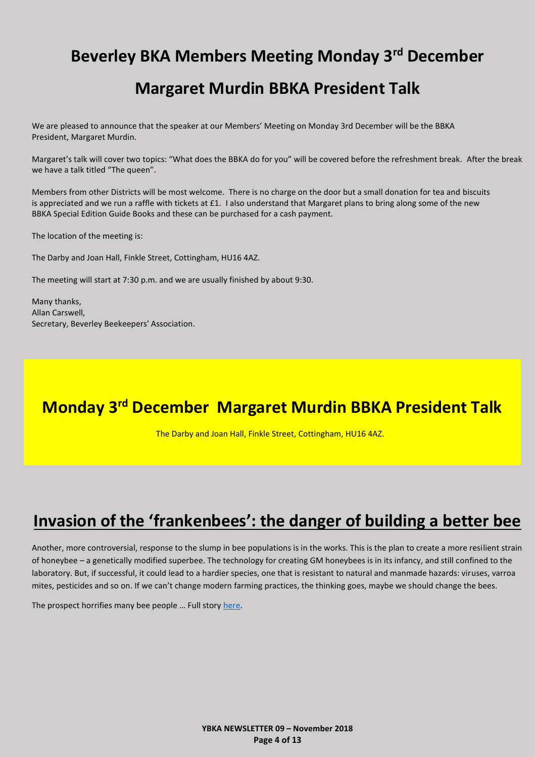# <span id="page-3-0"></span>**Beverley BKA Members Meeting Monday 3 rd December**

# **Margaret Murdin BBKA President Talk**

We are pleased to announce that the speaker at our Members' Meeting on Monday 3rd December will be the BBKA President, Margaret Murdin.

Margaret's talk will cover two topics: "What does the BBKA do for you" will be covered before the refreshment break. After the break we have a talk titled "The queen".

Members from other Districts will be most welcome. There is no charge on the door but a small donation for tea and biscuits is appreciated and we run a raffle with tickets at  $£1$ . I also understand that Margaret plans to bring along some of the new BBKA Special Edition Guide Books and these can be purchased for a cash payment.

The location of the meeting is:

The Darby and Joan Hall, Finkle Street, Cottingham, HU16 4AZ.

The meeting will start at 7:30 p.m. and we are usually finished by about 9:30.

Many thanks, Allan Carswell, Secretary, Beverley Beekeepers' Association.

# **Monday 3rd December Margaret Murdin BBKA President Talk**

The Darby and Joan Hall, Finkle Street, Cottingham, HU16 4AZ.

# <span id="page-3-1"></span>**Invasion of the 'frankenbees': the danger of building a better bee**

Another, more controversial, response to the slump in bee populations is in the works. This is the plan to create a more resilient strain of honeybee – a genetically modified superbee. The technology for creating GM honeybees is in its infancy, and still confined to the laboratory. But, if successful, it could lead to a hardier species, one that is resistant to natural and manmade hazards: viruses, varroa mites, pesticides and so on. If we can't change modern farming practices, the thinking goes, maybe we should change the bees.

The prospect horrifies many bee people … Full story [here.](https://www.theguardian.com/environment/2018/oct/16/frankenbees-genetically-modified-pollinators-danger-of-building-a-better-bee)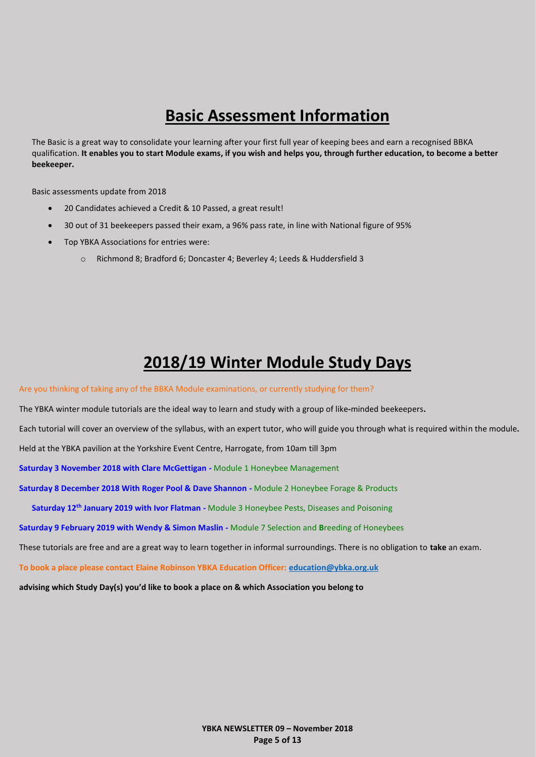# **Basic Assessment Information**

<span id="page-4-0"></span>The Basic is a great way to consolidate your learning after your first full year of keeping bees and earn a recognised BBKA qualification. **It enables you to start Module exams, if you wish and helps you, through further education, to become a better beekeeper.**

Basic assessments update from 2018

- 20 Candidates achieved a Credit & 10 Passed, a great result!
- 30 out of 31 beekeepers passed their exam, a 96% pass rate, in line with National figure of 95%
- <span id="page-4-1"></span>• Top YBKA Associations for entries were:
	- o Richmond 8; Bradford 6; Doncaster 4; Beverley 4; Leeds & Huddersfield 3

# **2018/19 Winter Module Study Days**

Are you thinking of taking any of the BBKA Module examinations, or currently studying for them?

The YBKA winter module tutorials are the ideal way to learn and study with a group of like**-**minded beekeepers**.**

Each tutorial will cover an overview of the syllabus, with an expert tutor, who will guide you through what is required within the module**.**

Held at the YBKA pavilion at the Yorkshire Event Centre, Harrogate, from 10am till 3pm

**Saturday 3 November 2018 with Clare McGettigan -** Module 1 Honeybee Management

**Saturday 8 December 2018 With Roger Pool & Dave Shannon -** Module 2 Honeybee Forage & Products

**Saturday 12th January 2019 with Ivor Flatman -** Module 3 Honeybee Pests, Diseases and Poisoning

**Saturday 9 February 2019 with Wendy & Simon Maslin -** Module 7 Selection and **B**reeding of Honeybees

These tutorials are free and are a great way to learn together in informal surroundings. There is no obligation to **take** an exam.

**To book a place please contact Elaine Robinson YBKA Education Officer: [education@ybka.org.uk](mailto:education@ybka.org.uk)**

**advising which Study Day(s) you'd like to book a place on & which Association you belong to**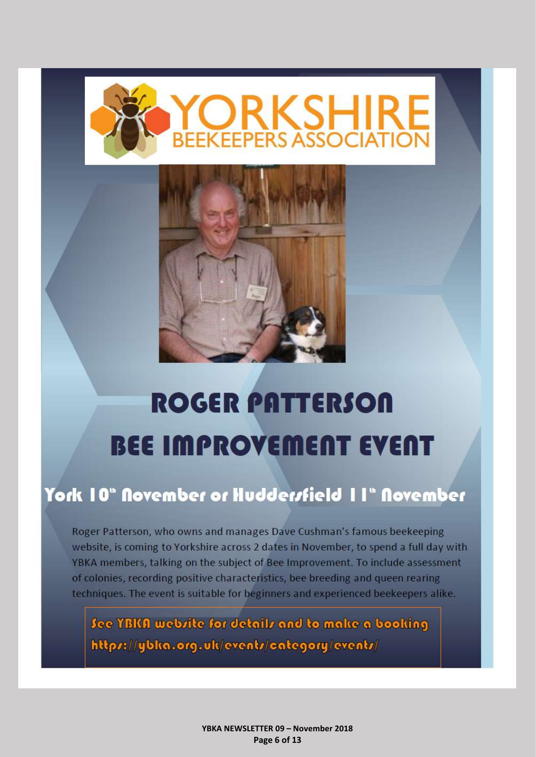

<span id="page-5-0"></span>

# **ROGER PATTERSON BEE IMPROVEMENT EVENT**

# York 10" November or Hudderstield 11" November

Roger Patterson, who owns and manages Dave Cushman's famous beekeeping website, is coming to Yorkshire across 2 dates in November, to spend a full day with YBKA members, talking on the subject of Bee Improvement. To include assessment of colonies, recording positive characteristics, bee breeding and queen rearing techniques. The event is suitable for beginners and experienced beekeepers alike.

See YBKA webrite for details and to make a booking https://ybka.org.uk/events/category/events/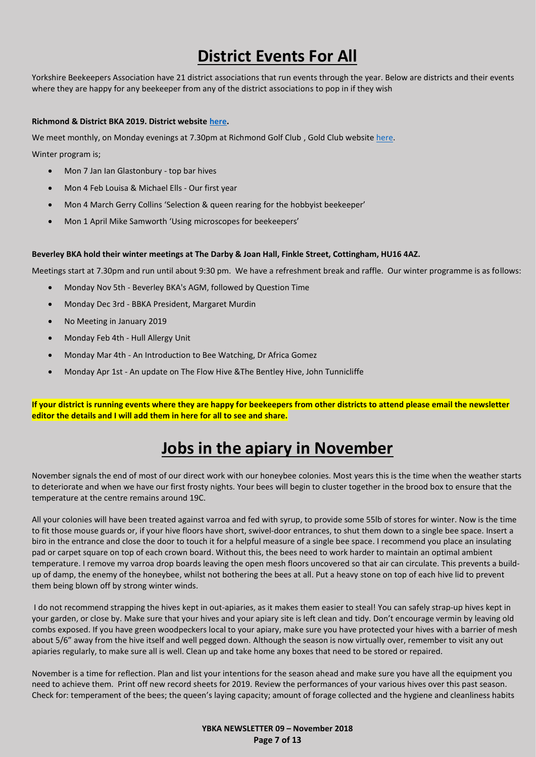# **District Events For All**

<span id="page-6-0"></span>Yorkshire Beekeepers Association have 21 district associations that run events through the year. Below are districts and their events where they are happy for any beekeeper from any of the district associations to pop in if they wish

### **Richmond & District BKA 2019. District website [here.](http://richmondbeekeepers.co.uk/)**

We meet monthly, on Monday evenings at 7.30pm at Richmond Golf Club, Gold Club website [here.](http://www.richmondyorksgolfclub.co.uk/)

Winter program is;

- Mon 7 Jan Ian Glastonbury top bar hives
- Mon 4 Feb Louisa & Michael Ells Our first year
- Mon 4 March Gerry Collins 'Selection & queen rearing for the hobbyist beekeeper'
- Mon 1 April Mike Samworth 'Using microscopes for beekeepers'

### **Beverley BKA hold their winter meetings at The Darby & Joan Hall, Finkle Street, Cottingham, HU16 4AZ.**

Meetings start at 7.30pm and run until about 9:30 pm. We have a refreshment break and raffle. Our winter programme is as follows:

- Monday Nov 5th Beverley BKA's AGM, followed by Question Time
- Monday Dec 3rd BBKA President, Margaret Murdin
- No Meeting in January 2019
- Monday Feb 4th Hull Allergy Unit
- Monday Mar 4th An Introduction to Bee Watching, Dr Africa Gomez
- Monday Apr 1st An update on The Flow Hive &The Bentley Hive, John Tunnicliffe

**If your district is running events where they are happy for beekeepers from other districts to attend please email the newsletter editor the details and I will add them in here for all to see and share.**

# **Jobs in the apiary in November**

<span id="page-6-1"></span>November signals the end of most of our direct work with our honeybee colonies. Most years this is the time when the weather starts to deteriorate and when we have our first frosty nights. Your bees will begin to cluster together in the brood box to ensure that the temperature at the centre remains around 19C.

All your colonies will have been treated against varroa and fed with syrup, to provide some 55lb of stores for winter. Now is the time to fit those mouse guards or, if your hive floors have short, swivel-door entrances, to shut them down to a single bee space. Insert a biro in the entrance and close the door to touch it for a helpful measure of a single bee space. I recommend you place an insulating pad or carpet square on top of each crown board. Without this, the bees need to work harder to maintain an optimal ambient temperature. I remove my varroa drop boards leaving the open mesh floors uncovered so that air can circulate. This prevents a buildup of damp, the enemy of the honeybee, whilst not bothering the bees at all. Put a heavy stone on top of each hive lid to prevent them being blown off by strong winter winds.

I do not recommend strapping the hives kept in out-apiaries, as it makes them easier to steal! You can safely strap-up hives kept in your garden, or close by. Make sure that your hives and your apiary site is left clean and tidy. Don't encourage vermin by leaving old combs exposed. If you have green woodpeckers local to your apiary, make sure you have protected your hives with a barrier of mesh about 5/6" away from the hive itself and well pegged down. Although the season is now virtually over, remember to visit any out apiaries regularly, to make sure all is well. Clean up and take home any boxes that need to be stored or repaired.

November is a time for reflection. Plan and list your intentions for the season ahead and make sure you have all the equipment you need to achieve them. Print off new record sheets for 2019. Review the performances of your various hives over this past season. Check for: temperament of the bees; the queen's laying capacity; amount of forage collected and the hygiene and cleanliness habits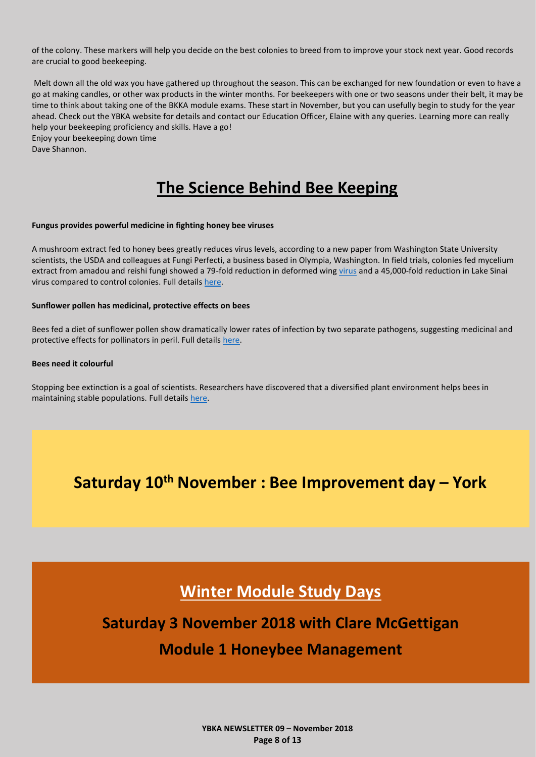of the colony. These markers will help you decide on the best colonies to breed from to improve your stock next year. Good records are crucial to good beekeeping.

Melt down all the old wax you have gathered up throughout the season. This can be exchanged for new foundation or even to have a go at making candles, or other wax products in the winter months. For beekeepers with one or two seasons under their belt, it may be time to think about taking one of the BKKA module exams. These start in November, but you can usefully begin to study for the year ahead. Check out the YBKA website for details and contact our Education Officer, Elaine with any queries. Learning more can really help your beekeeping proficiency and skills. Have a go! Enjoy your beekeeping down time

<span id="page-7-0"></span>Dave Shannon.

# **The Science Behind Bee Keeping**

### **Fungus provides powerful medicine in fighting honey bee viruses**

A mushroom extract fed to honey bees greatly reduces virus levels, according to a new paper from Washington State University scientists, the USDA and colleagues at Fungi Perfecti, a business based in Olympia, Washington. In field trials, colonies fed mycelium extract from amadou and reishi fungi showed a 79-fold reduction in deformed wing [virus](https://phys.org/tags/virus/) and a 45,000-fold reduction in Lake Sinai virus compared to control colonies. Full details [here.](https://phys.org/news/2018-10-fungus-powerful-medicine-honey-bee.amp)

### **Sunflower pollen has medicinal, protective effects on bees**

Bees fed a diet of sunflower pollen show dramatically lower rates of infection by two separate pathogens, suggesting medicinal and protective effects for pollinators in peril. Full details [here.](https://www.sciencedaily.com/releases/2018/09/180926082721.htm)

### **Bees need it colourful**

Stopping bee extinction is a goal of scientists. Researchers have discovered that a diversified plant environment helps bees in maintaining stable populations. Full detail[s here.](https://www.sciencedaily.com/releases/2018/08/180822101322.htm) 

# **Saturday 10th November : Bee Improvement day – York**

# **Winter Module Study Days**

# **Saturday 3 November 2018 with Clare McGettigan**

### **Module 1 Honeybee Management**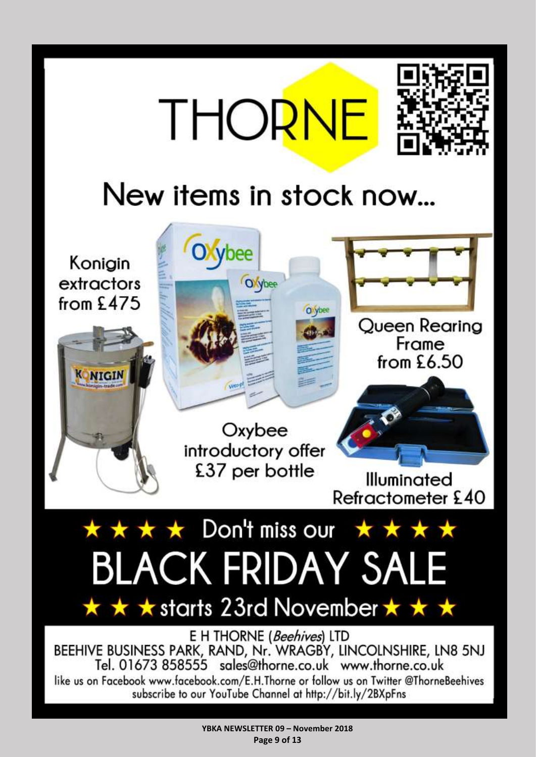<span id="page-8-0"></span>

**YBKA NEWSLETTER 09 – November 2018 Page 9 of 13**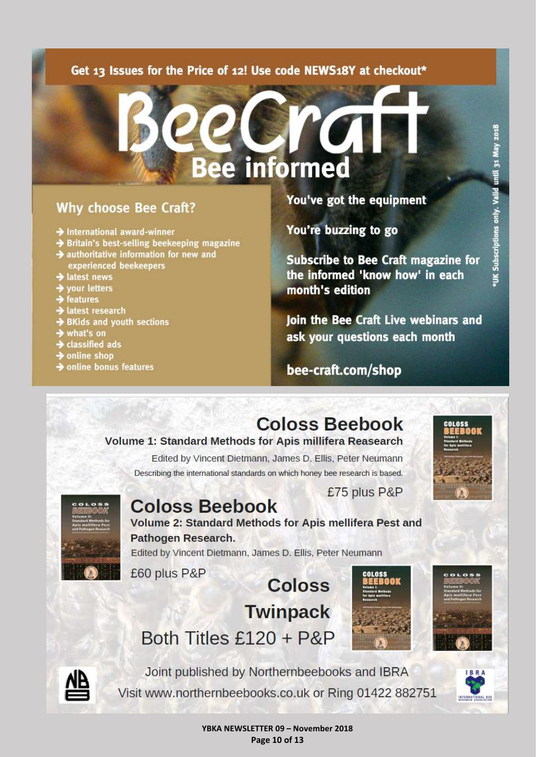### Get 13 Issues for the Price of 12! Use code NEWS18Y at checkout\*

# **Bee informed**

## **Why choose Bee Craft?**

- International award-winner
- Britain's best-selling beekeeping magazine
- authoritative information for new and experienced beekeepers
- latest news
- your letters
- features
- latest research
- **BKids and youth sections**
- what's on
- classified ads
- online shop
- $\rightarrow$  online bonus features

### You've got the equipment

You're buzzing to go

**Subscribe to Bee Craft magazine for** the informed 'know how' in each month's edition

Join the Bee Craft Live webinars and ask your questions each month

bee-craft.com/shop

# **Coloss Beebook**

### **Volume 1: Standard Methods for Apis millifera Reasearch**

Edited by Vincent Dietmann, James D. Ellis, Peter Neumann Describing the international standards on which honey bee research is based.



Valid

only. ions



**Coloss Beebook** Volume 2: Standard Methods for Apis mellifera Pest and Pathogen Research.

Edited by Vincent Dietmann, James D. Ellis, Peter Neumann

£60 plus P&P

**Coloss Twinpack** Both Titles £120 + P&P



£75 plus P&P





Joint published by Northernbeebooks and IBRA Visit www.northernbeebooks.co.uk or Ring 01422 882751



YBKA NEWSLETTER 09 - November 2018 Page 10 of 13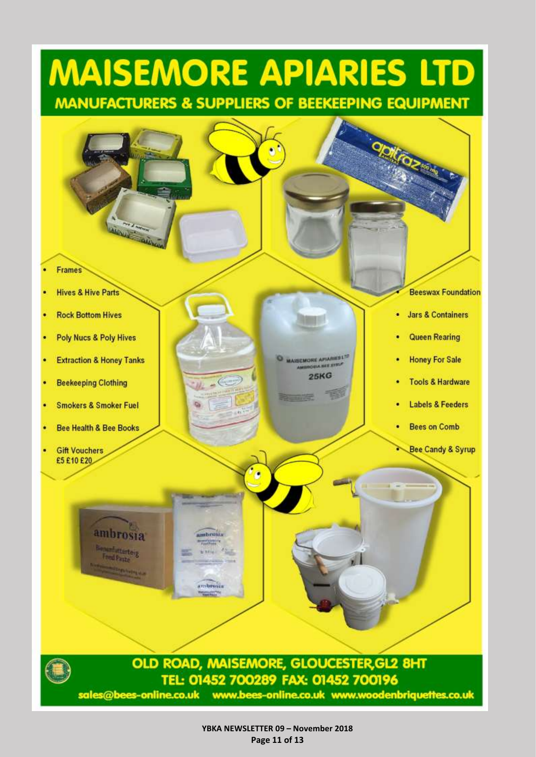# **MAISEMORE APIARIES LTD MANUFACTURERS & SUPPLIERS OF BEEKEEPING EQUIPMENT**



**YBKA NEWSLETTER 09 – November 2018 Page 11 of 13**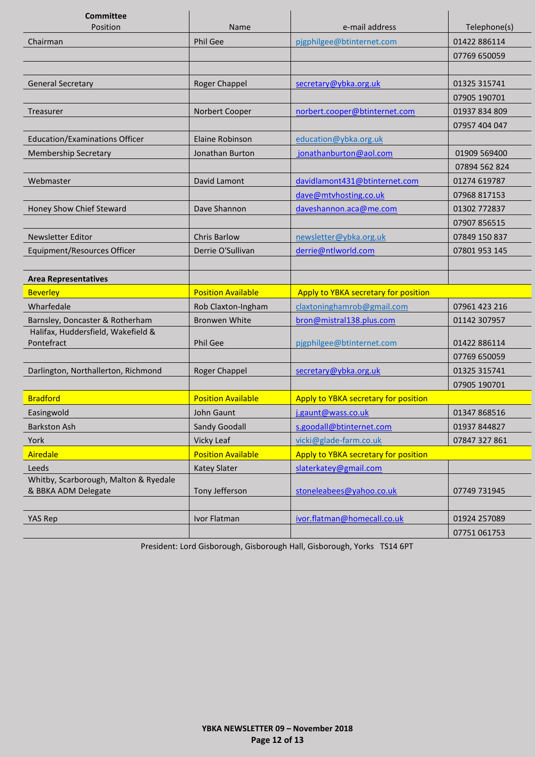<span id="page-11-0"></span>

| <b>Committee</b><br>Position                                 | Name                      | e-mail address                       | Telephone(s)  |
|--------------------------------------------------------------|---------------------------|--------------------------------------|---------------|
| Chairman                                                     | <b>Phil Gee</b>           | pjgphilgee@btinternet.com            | 01422 886114  |
|                                                              |                           |                                      | 07769 650059  |
|                                                              |                           |                                      |               |
| <b>General Secretary</b>                                     | Roger Chappel             | secretary@ybka.org.uk                | 01325 315741  |
|                                                              |                           |                                      | 07905 190701  |
| Treasurer                                                    | Norbert Cooper            | norbert.cooper@btinternet.com        | 01937 834 809 |
|                                                              |                           |                                      | 07957 404 047 |
| <b>Education/Examinations Officer</b>                        | <b>Elaine Robinson</b>    | education@ybka.org.uk                |               |
| <b>Membership Secretary</b>                                  | Jonathan Burton           | jonathanburton@aol.com               | 01909 569400  |
|                                                              |                           |                                      | 07894 562 824 |
| Webmaster                                                    | David Lamont              | davidlamont431@btinternet.com        | 01274 619787  |
|                                                              |                           | dave@mtvhosting.co.uk                | 07968 817153  |
| Honey Show Chief Steward                                     | Dave Shannon              | daveshannon.aca@me.com               | 01302 772837  |
|                                                              |                           |                                      | 07907 856515  |
| <b>Newsletter Editor</b>                                     | <b>Chris Barlow</b>       | newsletter@ybka.org.uk               | 07849 150 837 |
| Equipment/Resources Officer                                  | Derrie O'Sullivan         | derrie@ntlworld.com                  | 07801 953 145 |
|                                                              |                           |                                      |               |
| <b>Area Representatives</b>                                  |                           |                                      |               |
| <b>Beverley</b>                                              | <b>Position Available</b> | Apply to YBKA secretary for position |               |
| Wharfedale                                                   | Rob Claxton-Ingham        | claxtoninghamrob@gmail.com           | 07961 423 216 |
| Barnsley, Doncaster & Rotherham                              | <b>Bronwen White</b>      | bron@mistral138.plus.com             | 01142 307957  |
| Halifax, Huddersfield, Wakefield &                           |                           |                                      |               |
| Pontefract                                                   | Phil Gee                  | pjgphilgee@btinternet.com            | 01422 886114  |
|                                                              |                           |                                      | 07769 650059  |
| Darlington, Northallerton, Richmond                          | Roger Chappel             | secretary@ybka.org.uk                | 01325 315741  |
|                                                              |                           |                                      | 07905 190701  |
| <b>Bradford</b>                                              | <b>Position Available</b> | Apply to YBKA secretary for position |               |
| Easingwold                                                   | John Gaunt                | j.gaunt@wass.co.uk                   | 01347 868516  |
| <b>Barkston Ash</b>                                          | <b>Sandy Goodall</b>      | s.goodall@btinternet.com             | 01937 844827  |
| York                                                         | Vicky Leaf                | vicki@glade-farm.co.uk               | 07847 327 861 |
| Airedale                                                     | <b>Position Available</b> | Apply to YBKA secretary for position |               |
| Leeds                                                        | <b>Katey Slater</b>       | slaterkatey@gmail.com                |               |
| Whitby, Scarborough, Malton & Ryedale<br>& BBKA ADM Delegate | Tony Jefferson            | stoneleabees@yahoo.co.uk             | 07749 731945  |
|                                                              |                           |                                      |               |
| <b>YAS Rep</b>                                               | Ivor Flatman              | ivor.flatman@homecall.co.uk          | 01924 257089  |
|                                                              |                           |                                      | 07751 061753  |

President: Lord Gisborough, Gisborough Hall, Gisborough, Yorks TS14 6PT